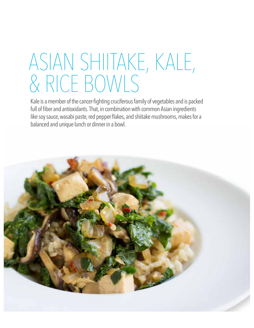## ASIAN SHIITAKE, KALE, & RICE BOWLS

Kale is a member of the cancer-fghting cruciferous family of vegetables and is packed full of fiber and antioxidants. That, in combination with common Asian ingredients like soy sauce, wasabi paste, red pepper flakes, and shiitake mushrooms, makes for a balanced and unique lunch or dinner in a bowl.